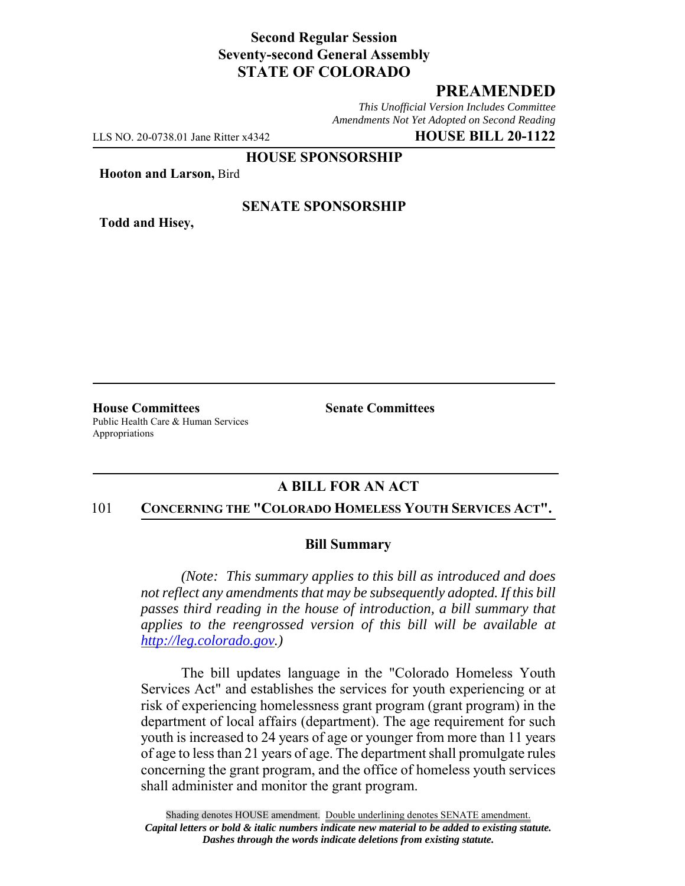### **Second Regular Session Seventy-second General Assembly STATE OF COLORADO**

# **PREAMENDED**

*This Unofficial Version Includes Committee Amendments Not Yet Adopted on Second Reading*

LLS NO. 20-0738.01 Jane Ritter x4342 **HOUSE BILL 20-1122**

**HOUSE SPONSORSHIP**

**Hooton and Larson,** Bird

**Todd and Hisey,**

### **SENATE SPONSORSHIP**

**House Committees Senate Committees** Public Health Care & Human Services Appropriations

# **A BILL FOR AN ACT**

#### 101 **CONCERNING THE "COLORADO HOMELESS YOUTH SERVICES ACT".**

#### **Bill Summary**

*(Note: This summary applies to this bill as introduced and does not reflect any amendments that may be subsequently adopted. If this bill passes third reading in the house of introduction, a bill summary that applies to the reengrossed version of this bill will be available at http://leg.colorado.gov.)*

The bill updates language in the "Colorado Homeless Youth Services Act" and establishes the services for youth experiencing or at risk of experiencing homelessness grant program (grant program) in the department of local affairs (department). The age requirement for such youth is increased to 24 years of age or younger from more than 11 years of age to less than 21 years of age. The department shall promulgate rules concerning the grant program, and the office of homeless youth services shall administer and monitor the grant program.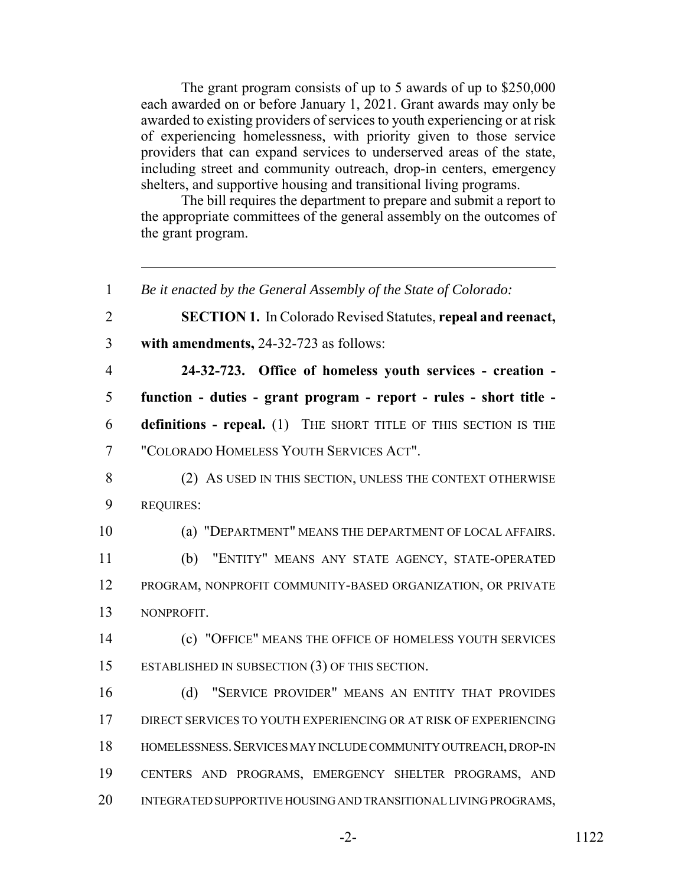The grant program consists of up to 5 awards of up to \$250,000 each awarded on or before January 1, 2021. Grant awards may only be awarded to existing providers of services to youth experiencing or at risk of experiencing homelessness, with priority given to those service providers that can expand services to underserved areas of the state, including street and community outreach, drop-in centers, emergency shelters, and supportive housing and transitional living programs.

The bill requires the department to prepare and submit a report to the appropriate committees of the general assembly on the outcomes of the grant program.

 *Be it enacted by the General Assembly of the State of Colorado:* **SECTION 1.** In Colorado Revised Statutes, **repeal and reenact, with amendments,** 24-32-723 as follows: **24-32-723. Office of homeless youth services - creation - function - duties - grant program - report - rules - short title - definitions - repeal.** (1) THE SHORT TITLE OF THIS SECTION IS THE "COLORADO HOMELESS YOUTH SERVICES ACT". 8 (2) AS USED IN THIS SECTION, UNLESS THE CONTEXT OTHERWISE REQUIRES: (a) "DEPARTMENT" MEANS THE DEPARTMENT OF LOCAL AFFAIRS. (b) "ENTITY" MEANS ANY STATE AGENCY, STATE-OPERATED PROGRAM, NONPROFIT COMMUNITY-BASED ORGANIZATION, OR PRIVATE NONPROFIT. (c) "OFFICE" MEANS THE OFFICE OF HOMELESS YOUTH SERVICES ESTABLISHED IN SUBSECTION (3) OF THIS SECTION. (d) "SERVICE PROVIDER" MEANS AN ENTITY THAT PROVIDES DIRECT SERVICES TO YOUTH EXPERIENCING OR AT RISK OF EXPERIENCING HOMELESSNESS.SERVICES MAY INCLUDE COMMUNITY OUTREACH, DROP-IN CENTERS AND PROGRAMS, EMERGENCY SHELTER PROGRAMS, AND INTEGRATED SUPPORTIVE HOUSING AND TRANSITIONAL LIVING PROGRAMS,

-2- 1122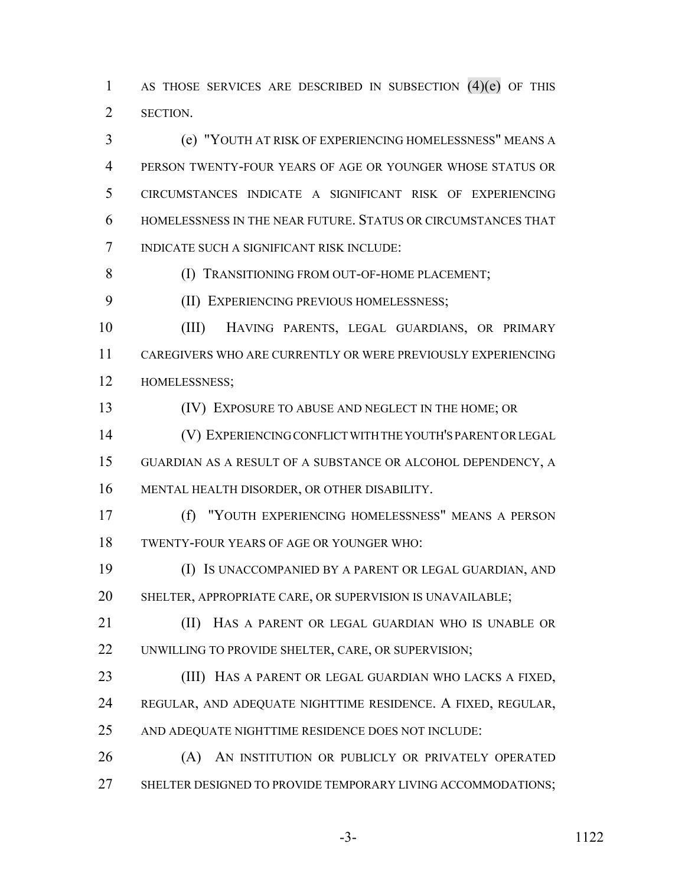AS THOSE SERVICES ARE DESCRIBED IN SUBSECTION (4)(e) OF THIS SECTION.

 (e) "YOUTH AT RISK OF EXPERIENCING HOMELESSNESS" MEANS A PERSON TWENTY-FOUR YEARS OF AGE OR YOUNGER WHOSE STATUS OR CIRCUMSTANCES INDICATE A SIGNIFICANT RISK OF EXPERIENCING HOMELESSNESS IN THE NEAR FUTURE. STATUS OR CIRCUMSTANCES THAT INDICATE SUCH A SIGNIFICANT RISK INCLUDE:

**(I) TRANSITIONING FROM OUT-OF-HOME PLACEMENT;** 

(II) EXPERIENCING PREVIOUS HOMELESSNESS;

 (III) HAVING PARENTS, LEGAL GUARDIANS, OR PRIMARY CAREGIVERS WHO ARE CURRENTLY OR WERE PREVIOUSLY EXPERIENCING HOMELESSNESS;

(IV) EXPOSURE TO ABUSE AND NEGLECT IN THE HOME; OR

 (V) EXPERIENCING CONFLICT WITH THE YOUTH'S PARENT OR LEGAL GUARDIAN AS A RESULT OF A SUBSTANCE OR ALCOHOL DEPENDENCY, A MENTAL HEALTH DISORDER, OR OTHER DISABILITY.

 (f) "YOUTH EXPERIENCING HOMELESSNESS" MEANS A PERSON TWENTY-FOUR YEARS OF AGE OR YOUNGER WHO:

 (I) IS UNACCOMPANIED BY A PARENT OR LEGAL GUARDIAN, AND SHELTER, APPROPRIATE CARE, OR SUPERVISION IS UNAVAILABLE;

**(II)** HAS A PARENT OR LEGAL GUARDIAN WHO IS UNABLE OR 22 UNWILLING TO PROVIDE SHELTER, CARE, OR SUPERVISION;

 (III) HAS A PARENT OR LEGAL GUARDIAN WHO LACKS A FIXED, REGULAR, AND ADEQUATE NIGHTTIME RESIDENCE. A FIXED, REGULAR, AND ADEQUATE NIGHTTIME RESIDENCE DOES NOT INCLUDE:

 (A) AN INSTITUTION OR PUBLICLY OR PRIVATELY OPERATED 27 SHELTER DESIGNED TO PROVIDE TEMPORARY LIVING ACCOMMODATIONS;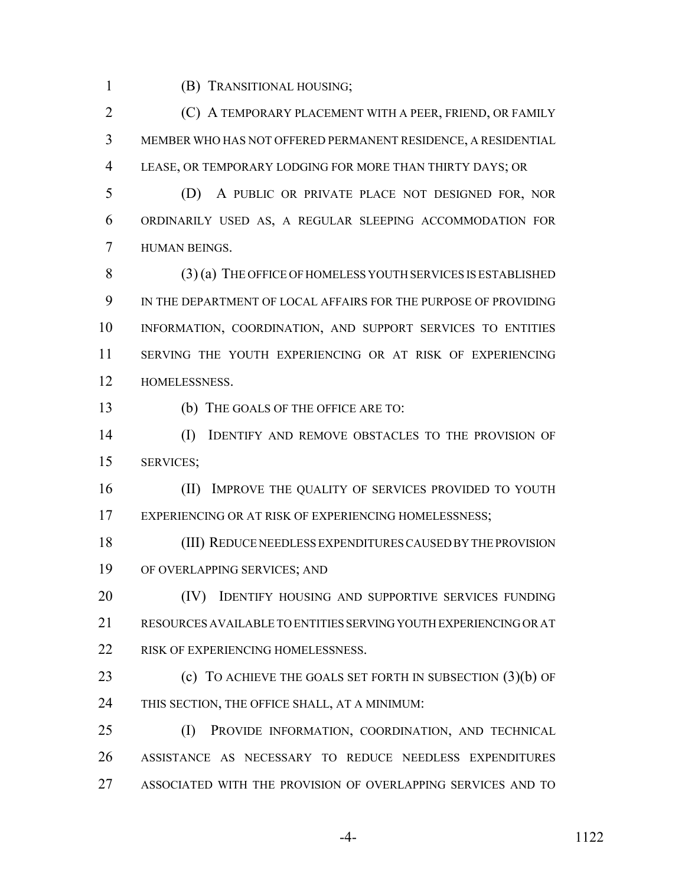(B) TRANSITIONAL HOUSING;

 (C) A TEMPORARY PLACEMENT WITH A PEER, FRIEND, OR FAMILY MEMBER WHO HAS NOT OFFERED PERMANENT RESIDENCE, A RESIDENTIAL LEASE, OR TEMPORARY LODGING FOR MORE THAN THIRTY DAYS; OR

 (D) A PUBLIC OR PRIVATE PLACE NOT DESIGNED FOR, NOR ORDINARILY USED AS, A REGULAR SLEEPING ACCOMMODATION FOR HUMAN BEINGS.

 (3) (a) THE OFFICE OF HOMELESS YOUTH SERVICES IS ESTABLISHED IN THE DEPARTMENT OF LOCAL AFFAIRS FOR THE PURPOSE OF PROVIDING INFORMATION, COORDINATION, AND SUPPORT SERVICES TO ENTITIES SERVING THE YOUTH EXPERIENCING OR AT RISK OF EXPERIENCING HOMELESSNESS.

(b) THE GOALS OF THE OFFICE ARE TO:

 (I) IDENTIFY AND REMOVE OBSTACLES TO THE PROVISION OF SERVICES;

16 (II) IMPROVE THE QUALITY OF SERVICES PROVIDED TO YOUTH 17 EXPERIENCING OR AT RISK OF EXPERIENCING HOMELESSNESS;

 (III) REDUCE NEEDLESS EXPENDITURES CAUSED BY THE PROVISION OF OVERLAPPING SERVICES; AND

**(IV)** IDENTIFY HOUSING AND SUPPORTIVE SERVICES FUNDING RESOURCES AVAILABLE TO ENTITIES SERVING YOUTH EXPERIENCING OR AT 22 RISK OF EXPERIENCING HOMELESSNESS.

**(c)** TO ACHIEVE THE GOALS SET FORTH IN SUBSECTION (3)(b) OF THIS SECTION, THE OFFICE SHALL, AT A MINIMUM:

 (I) PROVIDE INFORMATION, COORDINATION, AND TECHNICAL ASSISTANCE AS NECESSARY TO REDUCE NEEDLESS EXPENDITURES ASSOCIATED WITH THE PROVISION OF OVERLAPPING SERVICES AND TO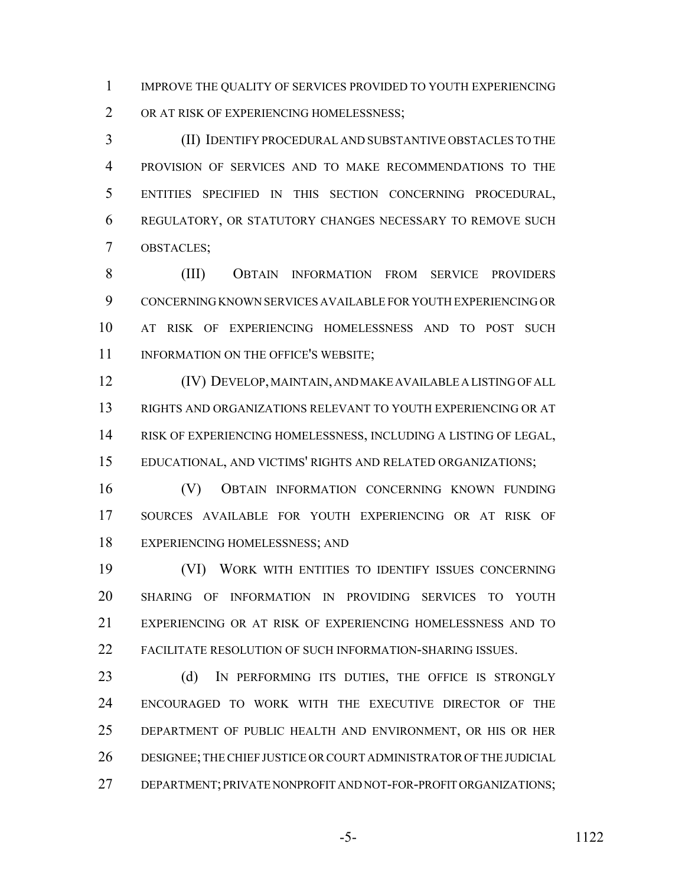IMPROVE THE QUALITY OF SERVICES PROVIDED TO YOUTH EXPERIENCING OR AT RISK OF EXPERIENCING HOMELESSNESS;

 (II) IDENTIFY PROCEDURAL AND SUBSTANTIVE OBSTACLES TO THE PROVISION OF SERVICES AND TO MAKE RECOMMENDATIONS TO THE ENTITIES SPECIFIED IN THIS SECTION CONCERNING PROCEDURAL, REGULATORY, OR STATUTORY CHANGES NECESSARY TO REMOVE SUCH OBSTACLES;

 (III) OBTAIN INFORMATION FROM SERVICE PROVIDERS CONCERNING KNOWN SERVICES AVAILABLE FOR YOUTH EXPERIENCING OR AT RISK OF EXPERIENCING HOMELESSNESS AND TO POST SUCH 11 INFORMATION ON THE OFFICE'S WEBSITE;

 (IV) DEVELOP, MAINTAIN, AND MAKE AVAILABLE A LISTING OF ALL RIGHTS AND ORGANIZATIONS RELEVANT TO YOUTH EXPERIENCING OR AT RISK OF EXPERIENCING HOMELESSNESS, INCLUDING A LISTING OF LEGAL, EDUCATIONAL, AND VICTIMS' RIGHTS AND RELATED ORGANIZATIONS;

 (V) OBTAIN INFORMATION CONCERNING KNOWN FUNDING SOURCES AVAILABLE FOR YOUTH EXPERIENCING OR AT RISK OF EXPERIENCING HOMELESSNESS; AND

 (VI) WORK WITH ENTITIES TO IDENTIFY ISSUES CONCERNING SHARING OF INFORMATION IN PROVIDING SERVICES TO YOUTH EXPERIENCING OR AT RISK OF EXPERIENCING HOMELESSNESS AND TO FACILITATE RESOLUTION OF SUCH INFORMATION-SHARING ISSUES.

23 (d) IN PERFORMING ITS DUTIES, THE OFFICE IS STRONGLY ENCOURAGED TO WORK WITH THE EXECUTIVE DIRECTOR OF THE DEPARTMENT OF PUBLIC HEALTH AND ENVIRONMENT, OR HIS OR HER DESIGNEE; THE CHIEF JUSTICE OR COURT ADMINISTRATOR OF THE JUDICIAL DEPARTMENT; PRIVATE NONPROFIT AND NOT-FOR-PROFIT ORGANIZATIONS;

-5- 1122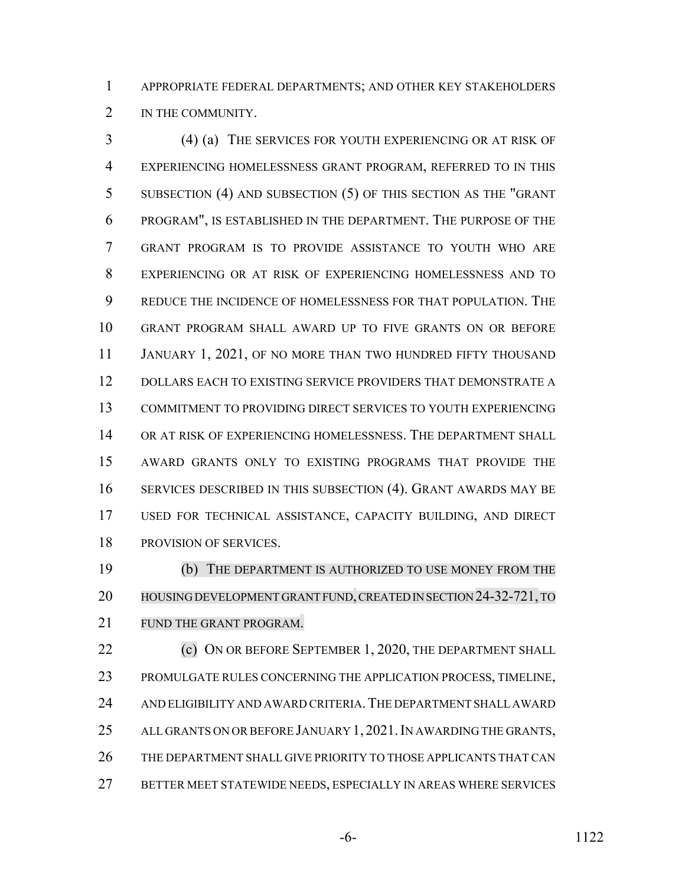APPROPRIATE FEDERAL DEPARTMENTS; AND OTHER KEY STAKEHOLDERS 2 IN THE COMMUNITY.

 (4) (a) THE SERVICES FOR YOUTH EXPERIENCING OR AT RISK OF EXPERIENCING HOMELESSNESS GRANT PROGRAM, REFERRED TO IN THIS SUBSECTION (4) AND SUBSECTION (5) OF THIS SECTION AS THE "GRANT PROGRAM", IS ESTABLISHED IN THE DEPARTMENT. THE PURPOSE OF THE GRANT PROGRAM IS TO PROVIDE ASSISTANCE TO YOUTH WHO ARE EXPERIENCING OR AT RISK OF EXPERIENCING HOMELESSNESS AND TO REDUCE THE INCIDENCE OF HOMELESSNESS FOR THAT POPULATION. THE GRANT PROGRAM SHALL AWARD UP TO FIVE GRANTS ON OR BEFORE 11 JANUARY 1, 2021, OF NO MORE THAN TWO HUNDRED FIFTY THOUSAND DOLLARS EACH TO EXISTING SERVICE PROVIDERS THAT DEMONSTRATE A COMMITMENT TO PROVIDING DIRECT SERVICES TO YOUTH EXPERIENCING 14 OR AT RISK OF EXPERIENCING HOMELESSNESS. THE DEPARTMENT SHALL AWARD GRANTS ONLY TO EXISTING PROGRAMS THAT PROVIDE THE SERVICES DESCRIBED IN THIS SUBSECTION (4). GRANT AWARDS MAY BE USED FOR TECHNICAL ASSISTANCE, CAPACITY BUILDING, AND DIRECT PROVISION OF SERVICES.

 (b) THE DEPARTMENT IS AUTHORIZED TO USE MONEY FROM THE 20 HOUSING DEVELOPMENT GRANT FUND, CREATED IN SECTION 24-32-721, TO FUND THE GRANT PROGRAM.

**(c) ON OR BEFORE SEPTEMBER 1, 2020, THE DEPARTMENT SHALL**  PROMULGATE RULES CONCERNING THE APPLICATION PROCESS, TIMELINE, AND ELIGIBILITY AND AWARD CRITERIA.THE DEPARTMENT SHALL AWARD 25 ALL GRANTS ON OR BEFORE JANUARY 1, 2021. IN AWARDING THE GRANTS, THE DEPARTMENT SHALL GIVE PRIORITY TO THOSE APPLICANTS THAT CAN BETTER MEET STATEWIDE NEEDS, ESPECIALLY IN AREAS WHERE SERVICES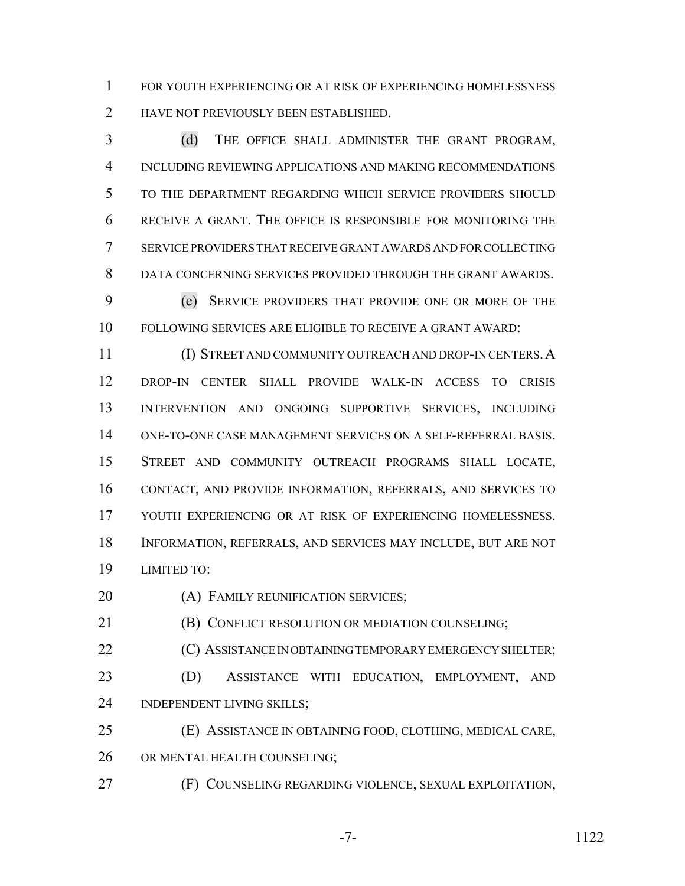FOR YOUTH EXPERIENCING OR AT RISK OF EXPERIENCING HOMELESSNESS HAVE NOT PREVIOUSLY BEEN ESTABLISHED.

 (d) THE OFFICE SHALL ADMINISTER THE GRANT PROGRAM, INCLUDING REVIEWING APPLICATIONS AND MAKING RECOMMENDATIONS TO THE DEPARTMENT REGARDING WHICH SERVICE PROVIDERS SHOULD RECEIVE A GRANT. THE OFFICE IS RESPONSIBLE FOR MONITORING THE SERVICE PROVIDERS THAT RECEIVE GRANT AWARDS AND FOR COLLECTING DATA CONCERNING SERVICES PROVIDED THROUGH THE GRANT AWARDS.

 (e) SERVICE PROVIDERS THAT PROVIDE ONE OR MORE OF THE FOLLOWING SERVICES ARE ELIGIBLE TO RECEIVE A GRANT AWARD:

 (I) STREET AND COMMUNITY OUTREACH AND DROP-IN CENTERS.A DROP-IN CENTER SHALL PROVIDE WALK-IN ACCESS TO CRISIS INTERVENTION AND ONGOING SUPPORTIVE SERVICES, INCLUDING ONE-TO-ONE CASE MANAGEMENT SERVICES ON A SELF-REFERRAL BASIS. STREET AND COMMUNITY OUTREACH PROGRAMS SHALL LOCATE, CONTACT, AND PROVIDE INFORMATION, REFERRALS, AND SERVICES TO YOUTH EXPERIENCING OR AT RISK OF EXPERIENCING HOMELESSNESS. INFORMATION, REFERRALS, AND SERVICES MAY INCLUDE, BUT ARE NOT LIMITED TO:

**(A) FAMILY REUNIFICATION SERVICES;** 

**(B) CONFLICT RESOLUTION OR MEDIATION COUNSELING;** 

**(C) ASSISTANCE IN OBTAINING TEMPORARY EMERGENCY SHELTER;**  (D) ASSISTANCE WITH EDUCATION, EMPLOYMENT, AND INDEPENDENT LIVING SKILLS;

 (E) ASSISTANCE IN OBTAINING FOOD, CLOTHING, MEDICAL CARE, OR MENTAL HEALTH COUNSELING;

(F) COUNSELING REGARDING VIOLENCE, SEXUAL EXPLOITATION,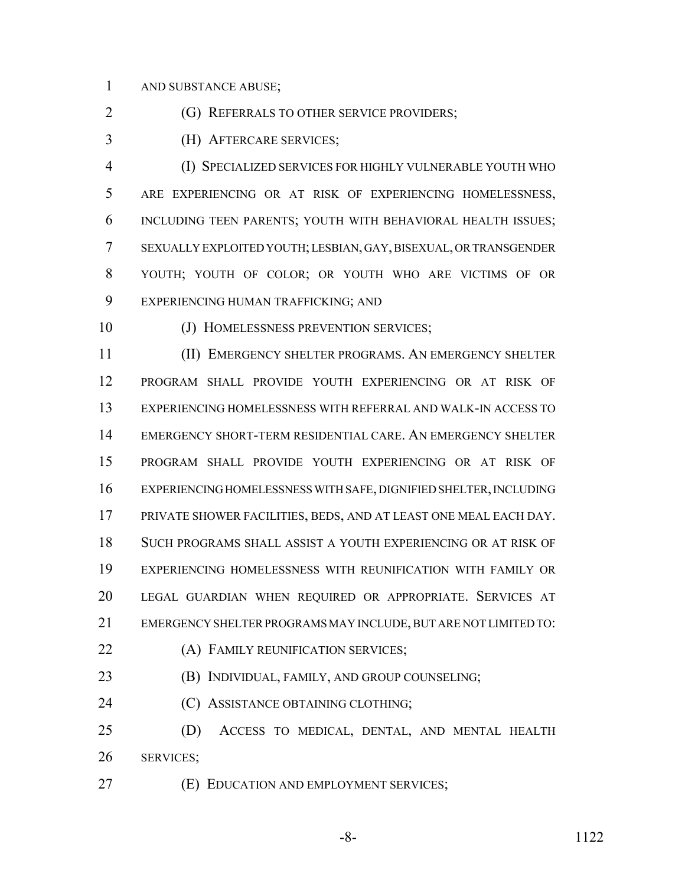AND SUBSTANCE ABUSE;

**(G) REFERRALS TO OTHER SERVICE PROVIDERS;** 

(H) AFTERCARE SERVICES;

 (I) SPECIALIZED SERVICES FOR HIGHLY VULNERABLE YOUTH WHO ARE EXPERIENCING OR AT RISK OF EXPERIENCING HOMELESSNESS, INCLUDING TEEN PARENTS; YOUTH WITH BEHAVIORAL HEALTH ISSUES; SEXUALLY EXPLOITED YOUTH; LESBIAN, GAY, BISEXUAL, OR TRANSGENDER YOUTH; YOUTH OF COLOR; OR YOUTH WHO ARE VICTIMS OF OR EXPERIENCING HUMAN TRAFFICKING; AND

(J) HOMELESSNESS PREVENTION SERVICES;

 (II) EMERGENCY SHELTER PROGRAMS. AN EMERGENCY SHELTER PROGRAM SHALL PROVIDE YOUTH EXPERIENCING OR AT RISK OF EXPERIENCING HOMELESSNESS WITH REFERRAL AND WALK-IN ACCESS TO EMERGENCY SHORT-TERM RESIDENTIAL CARE. AN EMERGENCY SHELTER PROGRAM SHALL PROVIDE YOUTH EXPERIENCING OR AT RISK OF EXPERIENCING HOMELESSNESS WITH SAFE, DIGNIFIED SHELTER, INCLUDING PRIVATE SHOWER FACILITIES, BEDS, AND AT LEAST ONE MEAL EACH DAY. SUCH PROGRAMS SHALL ASSIST A YOUTH EXPERIENCING OR AT RISK OF EXPERIENCING HOMELESSNESS WITH REUNIFICATION WITH FAMILY OR LEGAL GUARDIAN WHEN REQUIRED OR APPROPRIATE. SERVICES AT EMERGENCY SHELTER PROGRAMS MAY INCLUDE, BUT ARE NOT LIMITED TO:

**(A) FAMILY REUNIFICATION SERVICES;** 

**(B) INDIVIDUAL, FAMILY, AND GROUP COUNSELING;** 

(C) ASSISTANCE OBTAINING CLOTHING;

 (D) ACCESS TO MEDICAL, DENTAL, AND MENTAL HEALTH SERVICES;

(E) EDUCATION AND EMPLOYMENT SERVICES;

-8- 1122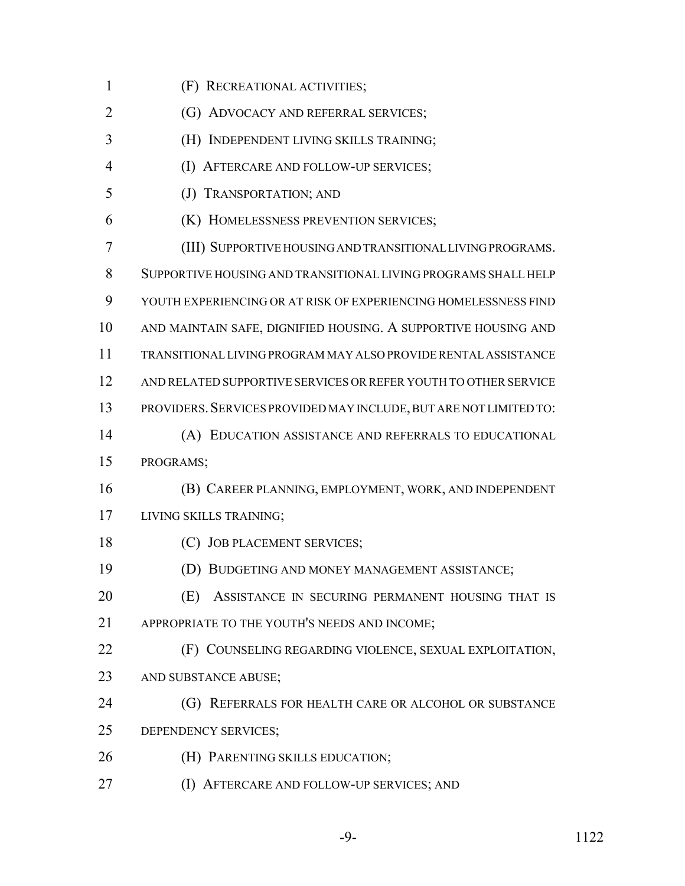| 1  | (F) RECREATIONAL ACTIVITIES;                                      |
|----|-------------------------------------------------------------------|
| 2  | (G) ADVOCACY AND REFERRAL SERVICES;                               |
| 3  | (H) INDEPENDENT LIVING SKILLS TRAINING;                           |
| 4  | (I) AFTERCARE AND FOLLOW-UP SERVICES;                             |
| 5  | (J) TRANSPORTATION; AND                                           |
| 6  | (K) HOMELESSNESS PREVENTION SERVICES;                             |
| 7  | (III) SUPPORTIVE HOUSING AND TRANSITIONAL LIVING PROGRAMS.        |
| 8  | SUPPORTIVE HOUSING AND TRANSITIONAL LIVING PROGRAMS SHALL HELP    |
| 9  | YOUTH EXPERIENCING OR AT RISK OF EXPERIENCING HOMELESSNESS FIND   |
| 10 | AND MAINTAIN SAFE, DIGNIFIED HOUSING. A SUPPORTIVE HOUSING AND    |
| 11 | TRANSITIONAL LIVING PROGRAM MAY ALSO PROVIDE RENTAL ASSISTANCE    |
| 12 | AND RELATED SUPPORTIVE SERVICES OR REFER YOUTH TO OTHER SERVICE   |
| 13 | PROVIDERS. SERVICES PROVIDED MAY INCLUDE, BUT ARE NOT LIMITED TO: |
| 14 | (A) EDUCATION ASSISTANCE AND REFERRALS TO EDUCATIONAL             |
| 15 | PROGRAMS;                                                         |
| 16 | (B) CAREER PLANNING, EMPLOYMENT, WORK, AND INDEPENDENT            |
| 17 | LIVING SKILLS TRAINING;                                           |
| 18 | (C) JOB PLACEMENT SERVICES;                                       |
| 19 | (D) BUDGETING AND MONEY MANAGEMENT ASSISTANCE;                    |
| 20 | ASSISTANCE IN SECURING PERMANENT HOUSING THAT IS<br>(E)           |
| 21 | APPROPRIATE TO THE YOUTH'S NEEDS AND INCOME;                      |
| 22 | (F) COUNSELING REGARDING VIOLENCE, SEXUAL EXPLOITATION,           |
| 23 | AND SUBSTANCE ABUSE;                                              |
| 24 | REFERRALS FOR HEALTH CARE OR ALCOHOL OR SUBSTANCE<br>(G)          |
| 25 | DEPENDENCY SERVICES;                                              |
| 26 | (H) PARENTING SKILLS EDUCATION;                                   |
| 27 | AFTERCARE AND FOLLOW-UP SERVICES; AND<br>(1)                      |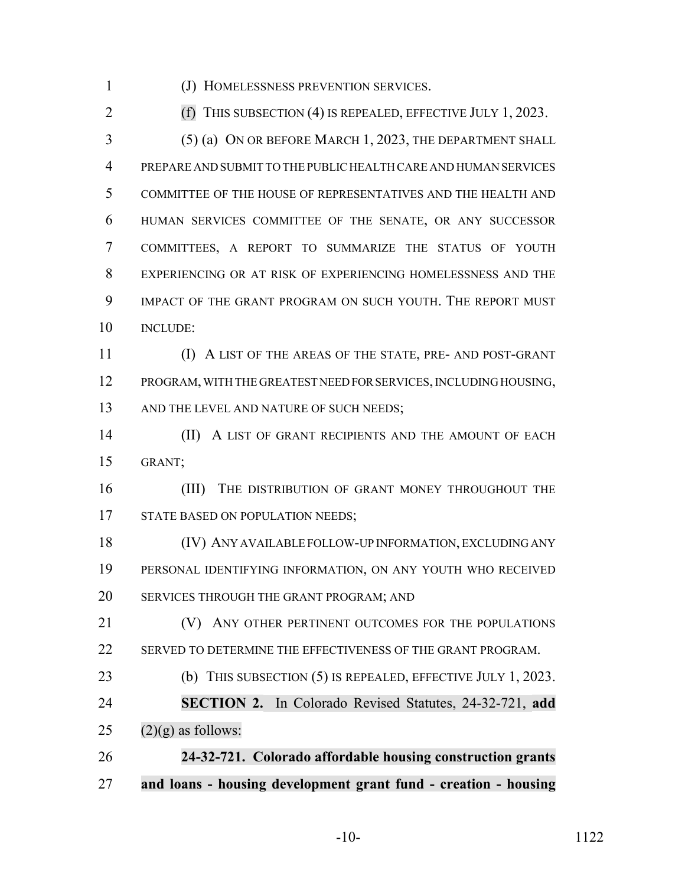(J) HOMELESSNESS PREVENTION SERVICES.

(f) THIS SUBSECTION (4) IS REPEALED, EFFECTIVE JULY 1, 2023.

 (5) (a) ON OR BEFORE MARCH 1, 2023, THE DEPARTMENT SHALL PREPARE AND SUBMIT TO THE PUBLIC HEALTH CARE AND HUMAN SERVICES COMMITTEE OF THE HOUSE OF REPRESENTATIVES AND THE HEALTH AND HUMAN SERVICES COMMITTEE OF THE SENATE, OR ANY SUCCESSOR COMMITTEES, A REPORT TO SUMMARIZE THE STATUS OF YOUTH EXPERIENCING OR AT RISK OF EXPERIENCING HOMELESSNESS AND THE IMPACT OF THE GRANT PROGRAM ON SUCH YOUTH. THE REPORT MUST INCLUDE:

 (I) A LIST OF THE AREAS OF THE STATE, PRE- AND POST-GRANT PROGRAM, WITH THE GREATEST NEED FOR SERVICES, INCLUDING HOUSING, 13 AND THE LEVEL AND NATURE OF SUCH NEEDS;

14 (II) A LIST OF GRANT RECIPIENTS AND THE AMOUNT OF EACH GRANT;

16 (III) THE DISTRIBUTION OF GRANT MONEY THROUGHOUT THE 17 STATE BASED ON POPULATION NEEDS;

 (IV) ANY AVAILABLE FOLLOW-UP INFORMATION, EXCLUDING ANY PERSONAL IDENTIFYING INFORMATION, ON ANY YOUTH WHO RECEIVED SERVICES THROUGH THE GRANT PROGRAM; AND

**(V)** ANY OTHER PERTINENT OUTCOMES FOR THE POPULATIONS SERVED TO DETERMINE THE EFFECTIVENESS OF THE GRANT PROGRAM.

 (b) THIS SUBSECTION (5) IS REPEALED, EFFECTIVE JULY 1, 2023. **SECTION 2.** In Colorado Revised Statutes, 24-32-721, **add**

25  $(2)(g)$  as follows:

 **24-32-721. Colorado affordable housing construction grants and loans - housing development grant fund - creation - housing**